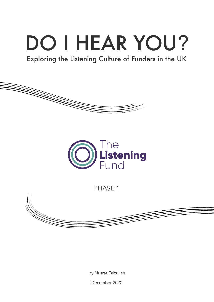# DO I HEAR YOU?

# Exploring the Listening Culture of Funders in the UK





PHASE 1



by Nusrat Faizullah

December 2020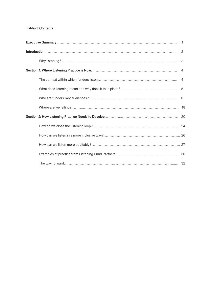#### **Table of Contents**

| - 8 |
|-----|
|     |
|     |
|     |
|     |
|     |
|     |
|     |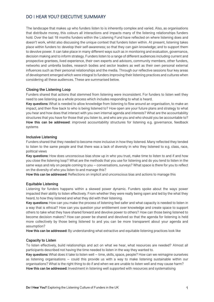# DO I HEAR YOU? EXECUTIVE SUMMARY

The landscape that makes up who funders listen to is inherently complex and varied. Also, as organisations that distribute money, this colours all interactions and impacts many of the listening relationships funders hold. Over the last 18 months funders within the Listening Fund have reflected on where listening does and doesn't work, whilst also discussing the unique context that funders listen within. At present, listening takes place within funders to: develop their self-awareness; so that they can gain knowledge; and to support them to devolve power. It can take place in many different ways such as in monitoring and evaluation, governance, decision making and to inform strategy. Funders listen to a range of different audiences including current and prospective grantees, lived experience, their own experts and advisors, community members, other funders, networks and umbrella bodies, research bodies and sector leaders as well as their own personal external influences such as their personal relationships and the media. Through our reflective sessions four key areas of development emerged which were integral to funders improving their listening practices and cultures when considering all these audiences. These are summarised below.

#### **Closing the Listening Loop**

Funders shared that actions that stemmed from listening were inconsistent. For funders to listen well they need to see listening as a whole process which includes responding to what is heard.

**Key questions:** What is needed to allow knowledge from listening to flow around an organisation, to make an impact, and then flow back to who is being listened to? How open are your future plans and strategy to what you hear and how does that interact with you own internal agenda and interests? What are the accountability structures that you have for those that you listen to, and who are you and who should you be accountable to? **How this can be addressed**: improved accountability structures for listening e.g. governance, feedback systems

#### **Inclusive Listening**

Funders shared that they needed to become more inclusive in how they listened. Many reflected they tended to listen to the same people and that there was a lack of diversity in who they listened to e.g. class, race, political views

**Key questions:** How does unconscious bias show up in who you trust, make time to listen to and if and how you close the listening loop? What are the methods that you use for listening and do you tend to listen in the same ways and rely on people coming to you – conversations, surveys? What space is there for you to reflect on the diversity of who you listen to and manage this?

**How this can be addressed:** Reflections on implicit and unconscious bias and actions to manage this

#### **Equitable Listening**

Listening for funders happens within a skewed power dynamic. Funders spoke about the ways power impacted their ability to listen effectively. From whether they were really being open and led by the what they heard, to how they listened and what they did with their listening.

**Key questions:** How can you make the process of listening feel safer and what capacity is needed to listen in a way that is ethical? How can you question your entitlement over knowledge and create space to support others to take what they have shared forward and devolve power to others? How can those being listened to become decision makers? How can power be shared and devolved so that the agenda for listening is held more collectively by those being listened to and you can be more transparent about your agenda and assumption?

**How this can be addressed:** By understanding what extractive and equitable listening practices look like

#### **Capacity to Listen**

To listen effectively, build relationships and act on what we hear, what resources are needed? Almost all participants described not having the time needed to listen in the way they wanted to.

**Key questions:** What does it take to listen well – time, skills, space, people? How can we reimagine ourselves as listening organisations – could this provide us with a way to make listening sustainable within our organisations? What is the right thing to do if and when we are unable to listen well and may cause harm? **How this can be addressed:** Investment in listening well supported with resources and systematising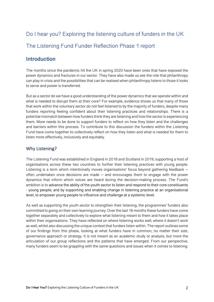# Do I hear you? Exploring the listening culture of funders in the UK The Listening Fund Funder Reflection Phase 1 report

# **Introduction**

The months since the pandemic hit the UK in spring 2020 have been ones that have exposed the power dynamics and fractures in our sector. They have also made us see the role that philanthropy can play in crisis and the possibilities that can be realised when philanthropy listens to those it looks to serve and power is transferred.

But as a sector do we have a good understanding of the power dynamics that we operate within and what is needed to disrupt them at their core? For example, evidence shows us that many of those that work within the voluntary sector do not feel listened to by the majority of funders, despite many funders reporting feeling confident about their listening practices and relationships. There is a potential mismatch between how funders think they are listening and how the sector is experiencing them. More needs to be done to support funders to reflect on how they listen and the challenges and barriers within this process. To contribute to this discussion the funders within the Listening Fund have come together to collectively reflect on how they listen and what is needed for them to listen more effectively, inclusively and equitably.

# Why Listening?

The Listening Fund was established in England in 2018 and Scotland in 2019, supporting a host of organisations across these two countries to further their listening practices with young people. Listening is a term which intentionally moves organisations' focus beyond gathering feedback – often undertaken once decisions are made – and encourages them to engage with the power dynamics that inform which voices are heard during the decision-making process. The Fund's ambition is to advance the ability of the youth sector to listen and respond to their core constituents - young people; and by supporting and enabling change in listening practice at an organisational level, to empower young people to influence and challenge at a systemic level.

As well as supporting the youth sector to strengthen their listening, the programmes' funders also committed to going on their own learning journey. Over the last 18 months these funders have come together separately and collectively to explore what listening meant to them and how it takes place within their organisations. They have reflected on where listening works well, where it doesn't work as well, whilst also discussing the unique context that funders listen within. The report outlines some of our findings from this phase, looking at what funders have in common, no matter their size, governance approach or strategy. It is not meant as an academic study or analysis, but more the articulation of our group reflections and the patterns that have emerged. From our perspective, many funders seem to be grappling with the same questions and issues when it comes to listening.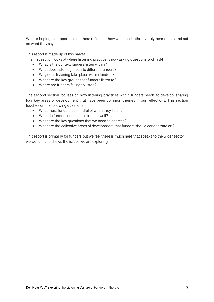We are hoping this report helps others reflect on how we in philanthropy truly hear others and act on what they say.

This report is made up of two halves.

The first section looks at where listening practice is now asking questions such as

- What is the context funders listen within?
- What does listening mean to different funders?
- Why does listening take place within funders?
- What are the key groups that funders listen to?
- Where are funders failing to listen?

The second section focuses on how listening practices within funders needs to develop, sharing four key areas of development that have been common themes in our reflections. This section touches on the following questions:

- What must funders be mindful of when they listen?
- What do funders need to do to listen well?
- What are the key questions that we need to address?
- What are the collective areas of development that funders should concentrate on?

This report is primarily for funders but we feel there is much here that speaks to the wider sector we work in and shows the issues we are exploring.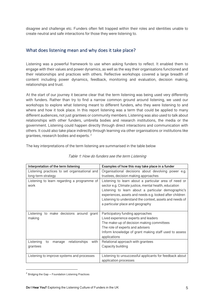disagree and challenge etc. Funders often felt trapped within their roles and identities unable to create neutral and safe interactions for those they were listening to.

### What does listening mean and why does it take place?

Listening was a powerful framework to use when asking funders to reflect. It enabled them to engage with their values and power dynamics, as well as the way their organisations functioned and their relationships and practices with others. Reflective workshops covered a large breadth of content including power dynamics, feedback, monitoring and evaluation, decision making, relationships and trust.

At the start of our journey it became clear that the term listening was being used very differently with funders. Rather than try to find a narrow common ground around listening, we used our workshops to explore what listening meant to different funders, who they were listening to and where and how it took place. In this report listening was a term that could be applied to many different audiences, not just grantees or community members. Listening was also used to talk about relationships with other funders, umbrella bodies and research institutions, the media or the government. Listening could happen directly through direct interactions and communication with others. It could also take place indirectly through learning via other organisations or institutions like grantees, research bodies and experts. 2

The key interpretations of the term listening are summarised in the table below

| Interpretation of the term listening                           | Examples of how this may take place in a funder                                                                                                                                                                                                                                                                                   |
|----------------------------------------------------------------|-----------------------------------------------------------------------------------------------------------------------------------------------------------------------------------------------------------------------------------------------------------------------------------------------------------------------------------|
| Listening practices to set organisational and                  | Organisational decisions about devolving power e.g.                                                                                                                                                                                                                                                                               |
| long-term strategy                                             | trustees, decision making approaches                                                                                                                                                                                                                                                                                              |
| Listening to learn regarding a programme of<br>work            | Listening to learn about a particular area of need or<br>sector e.g. Climate justice, mental health, education<br>Listening to learn about a particular demographic's<br>experiences, assets and needs e.g. looked after children<br>Listening to understand the context, assets and needs of<br>a particular place and geography |
| Listening to make decisions around grant<br>making             | Participatory funding approaches<br>Lived experience experts and leaders<br>The make-up of decision making committees<br>The role of experts and advisers<br>Inform knowledge of grant making staff used to assess<br>applications                                                                                                |
| Listening<br>relationships<br>with<br>to<br>manage<br>grantees | Relational approach with grantees<br>Capacity building                                                                                                                                                                                                                                                                            |
| Listening to improve systems and processes                     | Listening to unsuccessful applicants for feedback about<br>application processes                                                                                                                                                                                                                                                  |

#### Table 1: How do funders see the term Listening

 $2$  Bridging the Gap – Foundation Listening Practices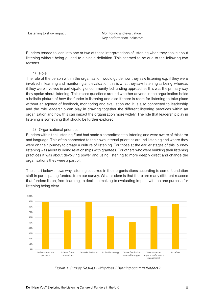| Listening to show impact | Monitoring and evaluation  |
|--------------------------|----------------------------|
|                          | Key performance indicators |
|                          |                            |

Funders tended to lean into one or two of these interpretations of listening when they spoke about listening without being guided to a single definition. This seemed to be due to the following two reasons.

#### 1) Role

The role of the person within the organisation would guide how they saw listening e.g. if they were involved in learning and monitoring and evaluation this is what they saw listening as being, whereas if they were involved in participatory or community led funding approaches this was the primary way they spoke about listening. This raises questions around whether anyone in the organisation holds a holistic picture of how the funder is listening and also if there is room for listening to take place without an agenda of feedback, monitoring and evaluation etc. It is also connected to leadership and the role leadership can play in drawing together the different listening practices within an organisation and how this can impact the organisation more widely. The role that leadership play in listening is something that should be further explored.

2) Organisational priorities

Funders within the Listening Fund had made a commitment to listening and were aware of this term and language. This often connected to their own internal priorities around listening and where they were on their journey to create a culture of listening. For those at the earlier stages of this journey listening was about building relationships with grantees. For others who were building their listening practices it was about devolving power and using listening to more deeply direct and change the organisations they were a part of.

The chart below shows why listening occurred in their organisations according to some foundation staff in participating funders from our survey. What is clear is that there are many different reasons that funders listen, from learning, to decision making to evaluating impact with no one purpose for listening being clear.



Figure 1: Survey Results - Why does Listening occur in funders?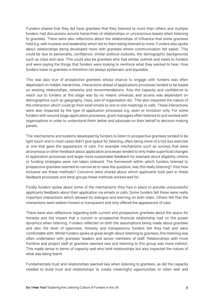Funders shared that they did have grantees that they listened to more than others and multiple funders had discussions around hierarchies of relationships or unconscious biases when listening to grantees. There were also reflections about the relationships of influence that some grantees held e.g. with trustees and leadership which led to them being listened to more. Funders also spoke about relationships being developed more with grantees where communication felt easier. This could be due to personality, confidence, similar political outlooks, the demographic backgrounds such as class and race. This could also be grantees who had similar outlook and views to funders and were saying the things that funders were looking to reinforce what they wanted to hear. How funders listen to grantees is therefore not always systematic and equitable.

This was also true of prospective grantees whose chance to engage with funders was often dependant on hidden hierarchies. Interactions ahead of applications processes tended to be based on existing relationships, networks and recommendations. Also the capacity and confidence to reach out to funders at this stage was by no means universal, and access was dependant on demographics such as geography, class, size of organisation etc. This also impacted the nature of the interaction which could go from brief emails to one to one meetings or calls. These interactions were also impacted by the type of application processes e.g. open or invitation only. For some funders with second stage application processes, grant managers often listened to and worked with organisations in order to understand them better and advocate on their behalf to decision making panels.

The mechanisms and systems developed by funders to listen to prospective grantees tended to be light touch and in most cases didn't give space for listening, often being more of a tick box exercise or one that gave the appearance of care. For example mechanisms such as surveys that were anonymous or other feedback about application processes tended to only make superficial changes to application processes and larger more sustainable feedback for example about eligibility criteria or funding strategies were not taken onboard. The framework within which funders listened to prospective grantees seemed so narrow as to raise the question; was this really listening? Also how inclusive are these methods? Concerns were shared about which applicants took part in these feedback processes and what groups these methods worked well for.

Finally funders spoke about some of the mechanisms they had in place to provide unsuccessful applicants feedback about their application via emails or calls. Some funders felt these were really important interactions which allowed for dialogue and learning on both sides. Others felt that the interactions were seldom honest or transparent and only offered the appearance of care.

There were also reflections regarding both current and prospective grantees about the space for honesty and the impact that a current or prospective financial relationship had on the power dynamics when listening. Funders reflected on both the assumptions being made about grantees and also the level of openness, honesty and transparency funders felt they had and were comfortable with. Whilst funders spoke at great length about listening to grantees, this listening was often undertaken with grantees' leaders and senior members of staff. Relationships with more frontline and project staff at grantees seemed rare and listening to this group was more indirect. This made sense in terms of capacity and who held relationships but also impacted the nature of what was being learnt.

Fundamentally trust and relationships seemed key when listening to grantees, as did the capacity needed to build trust and relationships to create meaningful opportunities to listen well and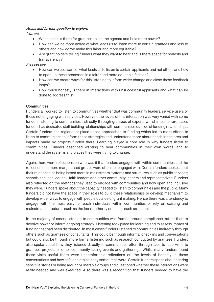#### **Areas and further question to explore**

Current

- What space is there for grantees to set the agenda and hold more power?
- How can we be more aware of what leads us to listen more to certain grantees and less to others and how do we make this fairer and more equitable?
- Are grant holders telling funders what they want to hear and is there space for honesty and transparency?

#### Prospective

- How can we be aware of what leads us to listen to certain applicants and not others and how to open up these processes in a fairer and more equitable fashion?
- How can we create ways for this listening to inform wider change and close these feedback loops?
- How much honesty is there in interactions with unsuccessful applicants and what can be done to address this?

#### **Communities**

Funders all worked to listen to communities whether that was community leaders, service users or those not engaging with services. However, the levels of this interaction was very varied with some funders listening to communities indirectly through grantees of experts whilst in some rare cases funders had dedicated staff building relationships with communities outside of funding relationships. Certain funders had regional or place based approached to funding which led to more efforts to listen to communities to inform these strategies and understand more about needs in the area and impacts made by projects funded there. Learning played a core role in why funders listen to communities. Funders described wanting to hear communities in their own words, and to understand the systems and places they were trying to change.

Again, there were reflections on who was it that funders engaged with within communities and the reflection that more marginalised groups were often not engaged with. Certain funders spoke about their relationships being based more in mainstream systems and structures such as public services; schools, the local council, faith leaders and other community leaders and representatives. Funders also reflected on the methods they used to engage with communities and how open and inclusive they were. Funders spoke about the capacity needed to listen to communities and the public. Many funders did not have the space in their roles to build these relationships or develop mechanism to develop wider ways to engage with people outside of grant making. Hence there was a tendency to engage with the most easy to reach individuals within communities or rely on existing and mainstream structures such as the local authority or bodies such as schools.

In the majority of cases, listening to communities was framed around compliance, rather than to devolve power or inform ongoing strategy. Listening took place for learning and to assess impact of funding that had been distributed. In most cases funders listened to communities indirectly through others such as grantees or consultants. This could be though informal check ins and conversations but could also be through more formal listening such as research conducted by grantees. Funders also spoke about how they listened directly to communities often through face to face visits to grantees projects or other community facing events and gatherings. Whilst many funders found these visits useful there were uncomfortable reflections on the levels of honesty in these conversations and how safe and ethical they sometimes were. Certain funders spoke about hearing sensitive stories or being around vulnerable groups and questioned whether these interactions were really needed and well executed. Also there was a recognition that funders needed to have the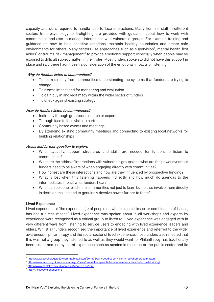capacity and skills required to handle face to face interactions. Many frontline staff in different sectors from psychology to firefighting are provided with guidance about how to work with communities and also to manage interactions with vulnerable groups. For example training and guidance on how to hold sensitive emotions, maintain healthy boundaries and create safe environments for others. Many sectors use approaches such as supervision<sup>4</sup>, mental health first aiders<sup>5</sup> or trauma risk management<sup> $6$ </sup> to provide emotional support especially when people may be exposed to difficult subject matter in their roles. Most funders spoken to did not have this support in place and said there hadn't been a consideration of the emotional impacts of listening.

#### **Why do funders listen to communities?**

- To learn directly from communities understanding the systems that funders are trying to change
- To assess impact and for monitoring and evaluation
- To gain buy in and legitimacy within the wider sector of funders
- To check against existing strategy

#### **How do funders listen to communities?**

- Indirectly through grantees, research or experts
- Through face to face visits to partners
- Community based events and meetings
- By attending existing community meetings and connecting to existing local networks for building relationships

#### **Areas and further question to explore**

- What capacity, support structures and skills are needed for funders to listen to communities?
- What are the ethics of interactions with vulnerable groups and what are the power dynamics funders need to be aware of when engaging directly with communities?
- How honest are these interactions and how are they influenced by prospective funding?
- What is lost when this listening happens indirectly and how much do agendas to the intermediates impact what funders hear?
- What can be done to listen to communities not just to learn but to also involve them directly in decision making and to genuinely devolve power further to them?

#### **Lived Experience**

Lived experience is 'the experience(s) of people on whom a social issue, or combination of issues, has had a direct impact<sup>17</sup>. Lived experience was spoken about in all workshops and experts by experience were recognised as a critical group to listen to. Lived experience was engaged with in very different ways from listening to service users to engaging with lived experience leaders and elders. Whilst all funders recognised the importance of lived experience and referred to the wider awareness in philanthropy and the social sector of lived experience, most funders also reflected that this was not a group they listened to as well as they would want to. Philanthropy has traditionally been reliant and led by learnt experience such as academic research or the public sector and its

<sup>6</sup> https://www.hantsfire.gov.uk/about-us/what-we-do/trim/

<sup>4</sup> https://www.psychologytoday.com/gb/blog/listen/201905/why-good-supervision-in-psychotherapy-matters

<sup>5</sup> https://www.mind.org.uk/news-campaigns/news/one-million-people-to-receive-mental-health-first-aid-training/

<sup>7</sup> http://thelivedexperience.org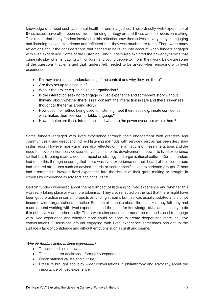knowledge of a need such as mental health or criminal justice. Those directly with experience of these issues have often been outside of funding strategy around these areas or decision making. This meant that many funders involved in this reflection saw themselves as very early in engaging and listening to lived experience and reflected that they was much more to do. There were many reflections about the considerations that needed to be taken into account when funders engaged with lived experience. Some of the Listening Fund funders also explored the power dynamics that came into play when engaging with children and young people to inform their work. Below are some of the questions that emerged that funders felt needed to be asked when engaging with lived experience.

- Do they have a clear understanding of the context and why they are there?
- Are they set up to be equals?
- Who is the broker e.g. an adult, an organisation?
- Is the interaction seeking to engage in lived experience and someone's story without thinking about whether there is real consent, the interaction in safe and there's been real thought to the terms around story?
- How does the method being used for listening meet their needs e.g. innate confidence, what makes them feel comfortable, language?
- How genuine are these interactions and what are the power dynamics within them?

Some funders engaged with lived experience through their engagement with grantees and communities, using direct and indirect listening methods with service users as has been described in this report. However many grantees also reflected on the limitations of these interactions and the need to move on from service user conversations to the devolvement of power to lived experience so that this listening made a deeper impact on strategy and organisational culture. Certain funders had done this through ensuring that there was lived experience on their board of trustees, others had created structures such as advisor boards or sector specific lived experience groups. Others had attempted to involved lived experience into the design of their grant making or brought in experts by experience as advisors and consultants.

Certain funders wondered about the real impact of listening to lived experience and whether this was really taking place or was more tokenistic. They also reflected on the fact that there might have been good practice in certain projects or funding streams but this was usually isolated and did not become wider organisational practice. Funders also spoke about the mistakes they felt they had made around working with lived experience and the need for knowledge, skills and capacity to do this effectively and authentically. There were also concerns around the methods used to engage with lived experience and whether more could be done to create deeper and more inclusive conversations. Discussions around engaging with lived experience sometimes brought to the surface a lack of confidence and difficult emotions such as guilt and shame.

#### **Why do funders listen to lived experience?**

- To learn and gain knowledge
- To make better decisions informed by experience
- Organisational values and culture
- Pressure brought about by wider conversations in philanthropy and advocacy about the importance of lived experience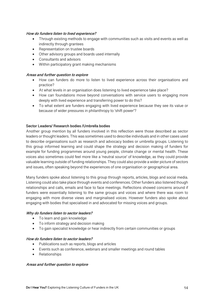#### **How do funders listen to lived experience?**

- Through existing methods to engage with communities such as visits and events as well as indirectly through grantees
- Representation on trustee boards
- Other advisory groups and boards used internally
- Consultants and advisors
- Within participatory grant making mechanisms

#### **Areas and further question to explore**

- How can funders do more to listen to lived experience across their organisations and practice?
- At what levels in an organisation does listening to lived experience take place?
- How can foundations move beyond conversations with service users to engaging more deeply with lived experience and transferring power to do this?
- To what extent are funders engaging with lived experience because they see its value or because of wider pressures in philanthropy to 'shift power'?

#### **Sector Leaders/ Research bodies /Umbrella bodies**

Another group mention by all funders involved in this reflection were those described as sector leaders or thought leaders. This was sometimes used to describe individuals and in other cases used to describe organisations such as research and advocacy bodies or umbrella groups. Listening to this group informed learning and could shape the strategy and decision making of funders for example for funding programmes around young people, climate change or mental health. These voices also sometimes could feel more like a 'neutral source' of knowledge, as they could provide valuable learning outside of funding relationships. They could also provide a wider picture of sectors and issues, often speaking beyond the experiences of one organisation or geographical area.

Many funders spoke about listening to this group through reports, articles, blogs and social media. Listening could also take place through events and conferences. Other funders also listened though relationships and calls, emails and face to face meetings. Reflections showed concerns around if funders were essentially listening to the same groups and voices and where there was room to engaging with more diverse views and marginalised voices. However funders also spoke about engaging with bodies that specialised in and advocated for missing voices and groups.

#### **Why do funders listen to sector leaders?**

- To learn and gain knowledge
- To inform strategy and decision making
- To gain specialist knowledge or hear indirectly from certain communities or groups

#### **How do funders listen to sector leaders?**

- Publications such as reports, blogs and articles
- Events such as conference, webinars and smaller meetings and round tables
- Relationships

#### **Areas and further question to explore**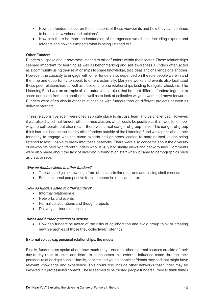- How can funders reflect on the limitations of these viewpoints and how they can continue to bring in new voices and opinions?
- How can there be more understanding of the agendas we all hold including experts and advisors and how this impacts what is being listened to?

#### **Other Funders**

Funders all spoke about how they listened to other funders within their sector. These relationships seemed important for learning as well as benchmarking and self-awareness. Funders often acted as a community using their relationships to share knowledge, test ideas and challenge one another. However, the capacity to engage with other funders also depended on the role people were in and the time and opportunity to speak to others externally. Many networks and events also facilitated these peer relationships as well as close one to one relationships leading to regular check ins. The Listening Fund was an example of a structure and project that brought different funders together to share and learn from one another as well as to look at collective ways to work and move forwards. Funders were often also in other relationships with funders through different projects or even as delivery partners.

These relationships again were cited as a safe place to discuss, learn and be challenged. However, it was also shared that funders often formed clusters which could be positive as it allowed for deeper ways to collaborate but also meant there was a real danger of group think. This danger of group think has also been described by other funders outside of the Listening Fund who spoke about their tendency to engage with the same experts and grantees leading to marginalised voices being listened to less, unable to break into these networks. There were also concerns about the diversity of viewpoints held by different funders who usually had similar views and backgrounds. Comments were also made about the lack of diversity in foundation staff when it came to demographics such as class or race.

#### **Why do funders listen to other funders?**

- To learn and gain knowledge from others in similar roles and addressing similar needs
- For an external perspective from someone in a similar context

#### **How do funders listen to other funders?**

- Informal relationships
- Networks and events
- Formal collaborations and though projects
- Delivery partner relationships

#### **Areas and further question to explore**

• How can funders be aware of the risks of collaboration and avoid group think or creating new hierarchies of those they collectively listen to?

#### **External voices e.g. personal relationships, the media**

Finally, funders also spoke about how much they turned to other external sources outside of their day-to-day roles to listen and learn. In some cases this external influence came through their personal relationships such as family, children and young people or friends they had that might have relevant knowledge and experience. This could also include other networks that funder may be involved in a professional context. These seemed to be trusted people funders turned to think things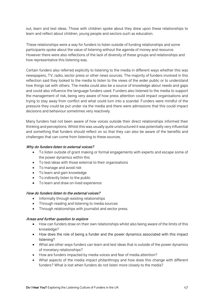out, learn and test ideas. Those with children spoke about they drew upon these relationships to learn and reflect about children, young people and sectors such as education.

These relationships were a way for funders to listen outside of funding relationships and some participants spoke about the value of listening without the agenda of money and resource. However there were also reflections of the lack of diversity of these groups and relationships and how representative this listening was.

Certain funders also referred explicitly to listening to the media in different ways whether this was newspapers, TV, radio, sector press or other news sources. The majority of funders involved in this reflection said they looked to the media to listen to the views of the wider public or to understand how things sat with others. The media could also be a source of knowledge about needs and gaps and could also influence the language funders used. Funders also listened to the media to support the management of risk, being very aware of how press attention could impact organisations and trying to stay away from conflict and what could turn into a scandal. Funders were mindful of the pressure they could be put under via the media and there were admissions that this could impact decisions and behaviour sometimes very reactively.

Many funders had not been aware of how voices outside their direct relationships informed their thinking and perceptions. Whilst this was usually quite unstructured it was potentially very influential and something that funders should reflect on so that they can also be aware of the benefits and challenges that can come from listening to these sources.

#### **Why do funders listen to external voices?**

- To listen outside of grant making or formal engagements with experts and escape some of the power dynamics within this
- To test ideas with those external to their organisations
- To manage and avoid risk
- To learn and gain knowledge
- To indirectly listen to the public
- To learn and draw on lived experience

#### **How do funders listen to the external voices?**

- Informally through existing relationships
- Through reading and listening to media sources
- Through relationships with journalist and sector press.

#### **Areas and further question to explore**

- How can funders draw on their own relationships whilst also being aware of the limits of this knowledge?
- How does the role of being a funder and the power dynamics associated with this impact listening?
- What are other ways funders can learn and test ideas that is outside of the power dynamics of monetary relationships?
- How are funders impacted by media voices and fear of media attention?
- What aspects of the media impact philanthropy and how does this change with different funders? What is lost when funders do not listen more closely to the media?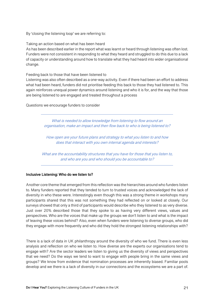By 'closing the listening loop' we are referring to:

Taking an action based on what has been heard

As has been described earlier in the report what was learnt or heard through listening was often lost. Funders were not consistent in responding to what they heard and struggled to do this due to a lack of capacity or understanding around how to translate what they had heard into wider organisational change.

Feeding back to those that have been listened to

Listening was also often described as a one-way activity. Even if there had been an effort to address what had been heard, funders did not prioritise feeding this back to those they had listened to. This again reinforces unequal power dynamics around listening and who it is for, and the way that those are being listened to are engaged and treated throughout a process

Questions we encourage funders to consider

What is needed to allow knowledge from listening to flow around an organisation, make an impact and then flow back to who is being listened to?

How open are your future plans and strategy to what you listen to and how does that interact with you own internal agenda and interests?

What are the accountability structures that you have for those that you listen to, and who are you and who should you be accountable to?

#### **Inclusive Listening: Who do we listen to?**

Another core theme that emerged from this reflection was the hierarchies around who funders listen to. Many funders reported that they tended to turn to trusted voices and acknowledged the lack of diversity in who these were. Interestingly even though this was a strong theme in workshops many participants shared that this was not something they had reflected on or looked at closely. Our surveys showed that only a third of participants would describe who they listened to as very diverse. Just over 20% described those that they spoke to as having very different views, values and perspectives. Who are the voices that make up the groups we don't listen to and what is the impact of leaving these voices behind? Also, even when funders were listening to diverse groups, who did they engage with more frequently and who did they hold the strongest listening relationships with?

There is a lack of data in UK philanthropy around the diversity of who we fund. There is even less analysis and reflection on who we listen to. How diverse are the experts our organisations tend to engage with? Are the sector leaders we listen to giving us the diversity of views and perspectives that we need? Do the ways we tend to want to engage with people bring in the same views and groups? We know from evidence that nomination processes are inherently biased. Familiar pools develop and we there is a lack of diversity in our connections and the ecosystems we are a part of.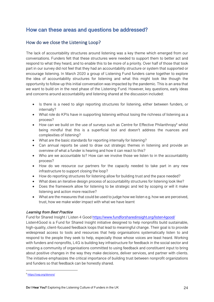# **How can these areas and questions be addressed?**

# How do we close the Listening Loop?

The lack of accountability structures around listening was a key theme which emerged from our conversations. Funders felt that these structures were needed to support them to better act and respond to what they heard, and to enable this to be more of a priority. Over half of those that took part in our survey did not feel that they had an accountability structure or system that supported or encourage listening. In March 2020 a group of Listening Fund funders came together to explore the idea of accountability structures for listening and what this might look like though the opportunity to follow up this initial conversation was impacted by the pandemic. This is an area that we want to build on in the next phase of the Listening Fund. However, key questions, early ideas and concerns around accountability and listening shared at the discussion included:

- Is there is a need to align reporting structures for listening, either between funders, or internally?
- What role do KPIs have in supporting listening without losing the richness of listening as a process?
- How can we build on the use of surveys such as Centre for Effective Philanthropy<sup>9</sup> whilst being mindful that this is a superficial tool and doesn't address the nuances and complexities of listening?
- What are the basic standards for reporting internally for listening?
- Can annual reports be used to draw out strategic themes in listening and provide an overview of what a funder is hearing and how it can react to this?
- Who are we accountable to? How can we involve those we listen to in the accountability process?
- How do we resource our partners for the capacity needed to take part in any new infrastructure to support closing the loop?
- How do reporting structures for listening allow for building trust and the pace needed?
- What does an iterative design process of accountability structures for listening look like?
- Does the framework allow for listening to be strategic and led by scoping or will it make listening and action more reactive?
- What are the measures that could be used to judge how we listen e.g. how we are perceived, trust, how we make wider impact with what we have learnt

#### **Learning from Best Practice**

Fund for Shared Insight / Listen 4 Good https://www.fundforsharedinsight.org/listen4good/

Listen4Good is a Fund for Shared Insight initiative designed to help nonprofits build sustainable, high-quality, client-focused feedback loops that lead to meaningful change. Their goal is to provide widespread access to tools and resources that help organisations systematically listen to and respond to the people they seek to help, especially those whose voices are least heard. Working with funders and nonprofits, L4G is building key infrastructure for feedback in the social sector and creating a community of organisations committed to using feedback and constituent input to bring about positive changes in the way they make decisions, deliver services, and partner with clients. The initiative emphasizes the critical importance of building trust between nonprofit organizations and funders so that feedback can be honestly shared.

<sup>9</sup> https://cep.org/donors/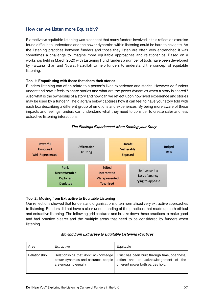# How can we Listen more Equitably?

Extractive vs equitable listening was a concept that many funders involved in this reflection exercise found difficult to understand and the power dynamics within listening could be hard to navigate. As the listening practices between funders and those they listen are often very entrenched it was sometimes a challenge to imagine more equitable approaches and relationships. Based on a workshop held in March 2020 with Listening Fund funders a number of tools have been developed by Farzana Khan and Nusrat Faizullah to help funders to understand the concept of equitable listening.

#### **Tool 1: Empathising with those that share their stories**

Funders listening can often relate to a person's lived experience and stories. However do funders understand how it feels to share stories and what are the power dynamics when a story is shared? Also what is the ownership of a story and how can we reflect upon how lived experience and stories may be used by a funder? The diagram below captures how it can feel to have your story told with each box describing a different group of emotions and experiences. By being more aware of these impacts and feelings funders can understand what they need to consider to create safer and less extractive listening interactions.



#### **The Feelings Experienced when Sharing your Story**

#### **Tool 2 : Moving from Extractive to Equitable Listening**

Our reflections showed that funders and organisations often normalised very extractive approaches to listening. Funders did not have a clear understanding of the practices that made up both ethical and extractive listening. The following grid captures and breaks down these practices to make good and bad practice clearer and the multiple areas that need to be considered by funders when listening.

| Area         | Extractive                                                                                        | Equitable                                                                                                                  |
|--------------|---------------------------------------------------------------------------------------------------|----------------------------------------------------------------------------------------------------------------------------|
| Relationship | Relationships that don't acknowledge<br>power dynamics and assumes people<br>are engaging equally | Trust has been built through time, openness,<br>action and an acknowledgement of the<br>different power both parties hold. |

#### **Moving from Extractive to Equitable Listening Practices**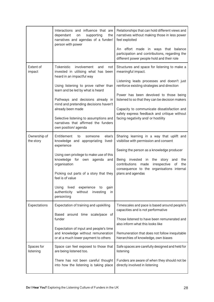|                           | Interactions and influence that are<br>dependant<br>supporting<br>on<br>the<br>narratives and agendas of a funder/<br>person with power                                                                                                                                                                                                                                                                     | Relationships that can hold different views and<br>narratives without making those in less power<br>feel exploited<br>An effort made in ways that balance<br>participation and contributions, regarding the<br>different power people hold and their role                                                                                                                                          |
|---------------------------|-------------------------------------------------------------------------------------------------------------------------------------------------------------------------------------------------------------------------------------------------------------------------------------------------------------------------------------------------------------------------------------------------------------|----------------------------------------------------------------------------------------------------------------------------------------------------------------------------------------------------------------------------------------------------------------------------------------------------------------------------------------------------------------------------------------------------|
| Extent of<br>impact       | <b>Tokenistic</b><br>involvement<br>and<br>not<br>invested in utilising what has been<br>heard in an impactful way<br>Using listening to prove rather than<br>learn and be led by what is heard<br>Pathways and decisions already in<br>mind and pretending decisions haven't<br>already been made<br>Selective listening to assumptions and<br>narratives that affirmed the funders<br>own position/agenda | Structures and space for listening to make a<br>meaningful impact.<br>Listening leads processes and doesn't just<br>reinforce existing strategies and direction<br>Power has been devolved to those being<br>listened to so that they can be decision makers<br>Capacity to communicate dissatisfaction and<br>safely express feedback and critique without<br>facing negativity and/ or hostility |
| Ownership of<br>the story | Entitlement<br>else's<br>to<br>someone<br>knowledge and appropriating<br>lived-<br>experience<br>Using own privilege to make use of this<br>knowledge for own agenda<br>and<br>organisation<br>Picking out parts of a story that they<br>feel is of value<br>Using<br>lived<br>experience to<br>gain<br>authenticity<br>without<br>investing<br>in<br>person/org                                            | Sharing learning in a way that uplift and<br>visibilise with permission and consent<br>Seeing the person as a knowledge producer<br>Being<br>invested in<br>the<br>story<br>the<br>and<br>the<br>contributions<br>made<br>irrespective<br>οf<br>consequence to the organisations internal<br>plans and agendas                                                                                     |
| Expectations              | Expectation of training and upskilling<br>Based around time scale/pace of<br>funder<br>Expectation of input and people's time<br>and knowledge without remuneration<br>or at a much lower payment to others                                                                                                                                                                                                 | Timescales and pace is based around people's<br>capacities and is not performative<br>Those listened to have been remunerated and<br>also inform what this looks like<br>Remuneration that does not follow inequitable<br>hierarchies of knowledge, own biases                                                                                                                                     |
| Spaces for<br>listening   | Space can feel exposed to those that<br>are being listened too.<br>There has not been careful thought<br>into how the listening is taking place                                                                                                                                                                                                                                                             | Safe spaces are carefully designed and held for<br>listening<br>Funders are aware of when they should not be<br>directly involved in listening                                                                                                                                                                                                                                                     |